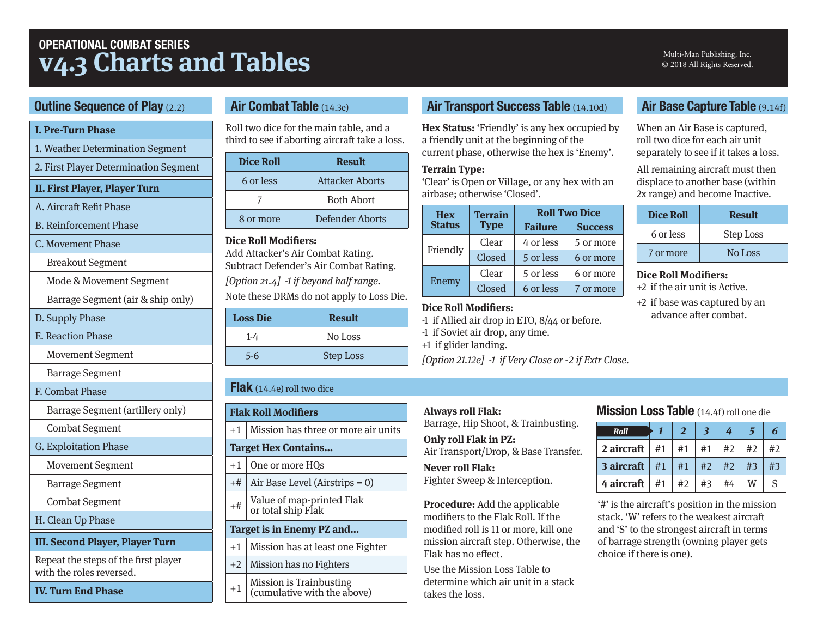# **OPERATIONAL COMBAT SERIES v4.3 Charts and Tables**

#### Multi-Man Publishing, Inc. © 2018 All Rights Reserved.

#### **Outline Sequence of Play (2.2)**

#### **I. Pre-Turn Phase**

- 1. Weather Determination Segment
- 2. First Player Determination Segment
- **II. First Player, Player Turn**
- A. Aircraft Refit Phase
- B. Reinforcement Phase

#### C. Movement Phase

- Breakout Segment
- Mode & Movement Segment
- Barrage Segment (air & ship only)
- D. Supply Phase
- E. Reaction Phase
- Movement Segment
- Barrage Segment
- F. Combat Phase
- Barrage Segment (artillery only)
- Combat Segment
- G. Exploitation Phase
- Movement Segment
- Barrage Segment
- Combat Segment
- H. Clean Up Phase

#### **III. Second Player, Player Turn**

Repeat the steps of the frst player with the roles reversed.

**IV. Turn End Phase**

## **Air Combat Table** (14.3e)

Roll two dice for the main table, and a third to see if aborting aircraft take a loss.

| <b>Dice Roll</b> | <b>Result</b>     |
|------------------|-------------------|
| 6 or less        | Attacker Aborts   |
|                  | <b>Both Abort</b> |
| 8 or more        | Defender Aborts   |

#### **Dice Roll Modifers:**

Add Attacker's Air Combat Rating. Subtract Defender's Air Combat Rating.

[Option 21.4] -1 if beyond half range. Note these DRMs do not apply to Loss Die.

| <b>Loss Die</b> | <b>Result</b>    |
|-----------------|------------------|
| $1-4$           | No Loss          |
| $5 - 6$         | <b>Step Loss</b> |

## **Flak** (14.4e) roll two dice

|      | <b>Flak Roll Modifiers</b>                             |
|------|--------------------------------------------------------|
| $+1$ | Mission has three or more air units                    |
|      | <b>Target Hex Contains</b>                             |
| $+1$ | One or more HQs                                        |
| $+#$ | Air Base Level (Airstrips $= 0$ )                      |
| $+#$ | Value of map-printed Flak<br>or total ship Flak        |
|      | Target is in Enemy PZ and                              |
| $+1$ | Mission has at least one Fighter                       |
| $+2$ | Mission has no Fighters                                |
| $+1$ | Mission is Trainbusting<br>(cumulative with the above) |

## **Air Transport Success Table** (14.10d)

**Hex Status:** 'Friendly' is any hex occupied by a friendly unit at the beginning of the current phase, otherwise the hex is 'Enemy'.

#### **Terrain Type:**

'Clear' is Open or Village, or any hex with an airbase; otherwise 'Closed'.

| <b>Hex</b>    | <b>Terrain</b> | <b>Roll Two Dice</b>   |                |  |  |  |
|---------------|----------------|------------------------|----------------|--|--|--|
| <b>Status</b> | <b>Type</b>    | <b>Failure</b>         | <b>Success</b> |  |  |  |
|               | Clear          | 4 or less              | 5 or more      |  |  |  |
| Friendly      | Closed         | 5 or less              | 6 or more      |  |  |  |
|               | Clear          | 5 or less              | 6 or more      |  |  |  |
| Enemy         | Closed         | 6 or less<br>7 or more |                |  |  |  |

#### **Dice Roll Modifers**:

- -1 if Allied air drop in ETO, 8/44 or before.
- -1 if Soviet air drop, any time.
- +1 if glider landing.

[Option 21.12e] -1 if Very Close or -2 if Extr Close.

#### **Always roll Flak:**

Barrage, Hip Shoot, & Trainbusting.

**Only roll Flak in PZ:** Air Transport/Drop, & Base Transfer.

**Never roll Flak:** Fighter Sweep & Interception.

**Procedure:** Add the applicable modifers to the Flak Roll. If the modifed roll is 11 or more, kill one mission aircraft step. Otherwise, the Flak has no efect.

Use the Mission Loss Table to determine which air unit in a stack takes the loss.

## **Air Base Capture Table** (9.14f)

When an Air Base is captured, roll two dice for each air unit separately to see if it takes a loss.

All remaining aircraft must then displace to another base (within 2x range) and become Inactive.

| <b>Dice Roll</b> | <b>Result</b> |
|------------------|---------------|
| 6 or less        | Step Loss     |
| 7 or more        | No Loss       |

#### **Dice Roll Modifers:**

- +2 if the air unit is Active.
- +2 if base was captured by an advance after combat.

## **Mission Loss Table** (14.4f) roll one die

| Roll                          | $\overline{2}$ | 3                             | 4     |    | 6            |
|-------------------------------|----------------|-------------------------------|-------|----|--------------|
| 2 aircraft $\mid #1 \mid #1$  |                | #1                            | $\#2$ | #2 | #2           |
| <b>3 aircraft</b> $\#1$ $\#1$ |                | $\mid$ #2 $\mid$ #2 $\mid$ #3 |       |    | #3           |
| 4 aircraft $\vert$ #1         | #2             | #3                            | #4    | W  | <sup>S</sup> |

'#' is the aircraf's position in the mission stack. 'W' refers to the weakest aircraf and 'S' to the strongest aircraft in terms of barrage strength (owning player gets choice if there is one).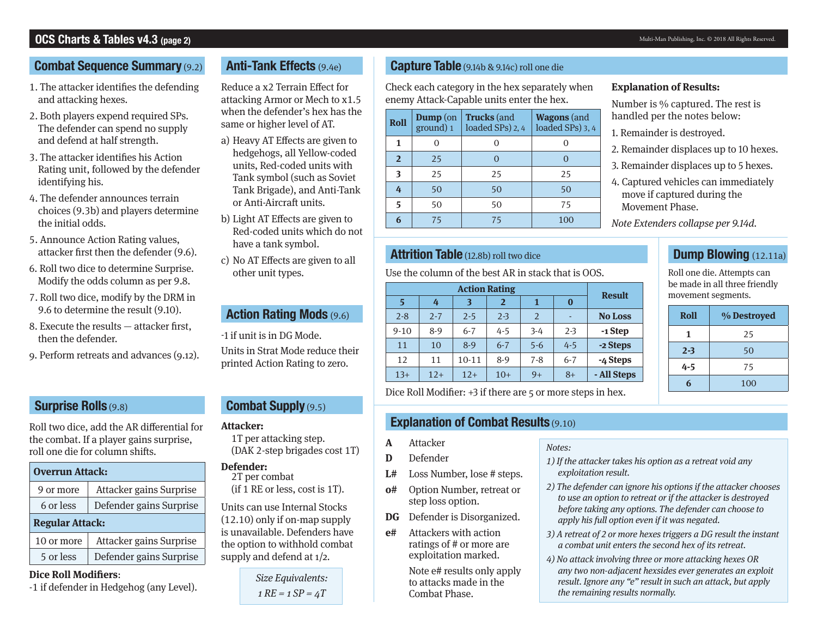#### Multi-Man Publishing, Inc. © 2018 All Rights Reserved.

## **OCS Charts & Tables v4.3 (page 2)**

#### **Combat Sequence Summary** (9.2)

- 1. The attacker identifes the defending and attacking hexes.
- 2. Both players expend required SPs. The defender can spend no supply and defend at half strength.
- 3. The attacker identifes his Action Rating unit, followed by the defender identifying his.
- 4. The defender announces terrain choices (9.3b) and players determine the initial odds.
- 5. Announce Action Rating values, attacker frst then the defender (9.6).
- 6. Roll two dice to determine Surprise. Modify the odds column as per 9.8.
- 7. Roll two dice, modify by the DRM in 9.6 to determine the result (9.10).
- 8. Execute the results attacker frst, then the defender.
- 9. Perform retreats and advances (9.12).

## **Surprise Rolls** (9.8)

Roll two dice, add the AR diferential for the combat. If a player gains surprise, roll one die for column shifs.

| <b>Overrun Attack:</b>               |                         |  |  |  |  |  |  |
|--------------------------------------|-------------------------|--|--|--|--|--|--|
| Attacker gains Surprise<br>9 or more |                         |  |  |  |  |  |  |
| Defender gains Surprise<br>6 or less |                         |  |  |  |  |  |  |
| <b>Regular Attack:</b>               |                         |  |  |  |  |  |  |
| 10 or more                           | Attacker gains Surprise |  |  |  |  |  |  |
| 5 or less                            | Defender gains Surprise |  |  |  |  |  |  |

#### **Dice Roll Modifers**:

-1 if defender in Hedgehog (any Level).

## **Anti-Tank Effects** (9.4e)

Reduce a x2 Terrain Efect for attacking Armor or Mech to x1.5 when the defender's hex has the same or higher level of AT.

- a) Heavy AT Efects are given to hedgehogs, all Yellow-coded units, Red-coded units with Tank symbol (such as Soviet Tank Brigade), and Anti-Tank or Anti-Aircraft units.
- b) Light AT Efects are given to Red-coded units which do not have a tank symbol.

c) No AT Efects are given to all other unit types.

## **Action Rating Mods** (9.6)

-1 if unit is in DG Mode.

Units in Strat Mode reduce their printed Action Rating to zero.

## **Combat Supply** (9.5)

1T per attacking step. (DAK 2-step brigades cost 1T)

#### **Defender:**

2T per combat

Units can use Internal Stocks (12.10) only if on-map supply is unavailable. Defenders have the option to withhold combat supply and defend at 1/2.

(if 1 RE or less, cost is 1T).

Size Equivalents:

 $1$  RE =  $1$  SP =  $4T$ 

#### **Capture Table** (9.14b & 9.14c) roll one die

Check each category in the hex separately when enemy Attack-Capable units enter the hex.

| <b>Roll</b>    | $\mathbf{Dump}$ (on<br>ground) 1 | <b>Trucks</b> (and<br>loaded SPs) 2, 4 | <b>Wagons</b> (and<br>loaded SPs) 3, 4 |  |  |
|----------------|----------------------------------|----------------------------------------|----------------------------------------|--|--|
| 1              |                                  |                                        |                                        |  |  |
| $\overline{2}$ | 25                               |                                        |                                        |  |  |
| 3              | 25                               | 25                                     | 25                                     |  |  |
| 4              | 50                               | 50                                     | 50                                     |  |  |
| 5              | 50                               | 50                                     | 75                                     |  |  |
|                | 75                               | 75                                     | 100                                    |  |  |

## **Attrition Table** (12.8b) roll two dice

Use the column of the best AR in stack that is OOS.

|          | <b>Action Rating</b> |           |                |         |                          |                |  |  |  |  |  |  |  |
|----------|----------------------|-----------|----------------|---------|--------------------------|----------------|--|--|--|--|--|--|--|
| 5        | 4                    | 3         | $\overline{2}$ | 1       | $\bf{0}$                 | <b>Result</b>  |  |  |  |  |  |  |  |
| $2 - 8$  | $2 - 7$              | $2 - 5$   | $2 - 3$        | 2       | $\overline{\phantom{0}}$ | <b>No Loss</b> |  |  |  |  |  |  |  |
| $9 - 10$ | 8-9                  | $6 - 7$   | $4 - 5$        | $3-4$   | $2 - 3$                  | -1 Step        |  |  |  |  |  |  |  |
| 11       | 10                   | $8-9$     | $6 - 7$        | $5 - 6$ | $4 - 5$                  | -2 Steps       |  |  |  |  |  |  |  |
| 12       | 11                   | $10 - 11$ | $8-9$          | $7 - 8$ | $6 - 7$                  | -4 Steps       |  |  |  |  |  |  |  |
| $13+$    | $12+$                | $12+$     | $10+$          | $9+$    | $8+$                     | - All Steps    |  |  |  |  |  |  |  |

Dice Roll Modifier:  $+3$  if there are 5 or more steps in hex.

## **Attacker: Explanation of Combat Results** (9.10)

- **A** Attacker
- **D** Defender
- **L#** Loss Number, lose # steps.
- **o#** Option Number, retreat or step loss option.
- **DG** Defender is Disorganized.
- **e#** Attackers with action ratings of # or more are exploitation marked.

Note e# results only apply to attacks made in the Combat Phase.

#### **Explanation of Results:**

Number is % captured. The rest is handled per the notes below:

- 1. Remainder is destroyed.
- 2. Remainder displaces up to 10 hexes.
- 3. Remainder displaces up to 5 hexes.
- 4. Captured vehicles can immediately move if captured during the Movement Phase.

Note Extenders collapse per 9.14d.

## **Dump Blowing** (12.11a)

Roll one die. Attempts can be made in all three friendly movement segments.

| Roll    | % Destroyed |
|---------|-------------|
| 1       | 25          |
| $2 - 3$ | 50          |
| $4 - 5$ | 75          |
|         | 100         |

- Notes:
- 1) If the attacker takes his option as a retreat void any exploitation result.
- 2) The defender can ignore his options if the attacker chooses to use an option to retreat or if the attacker is destroyed before taking any options. The defender can choose to apply his full option even if it was negated.
- 3) A retreat of 2 or more hexes triggers a DG result the instant a combat unit enters the second hex of its retreat.
- 4) No attack involving three or more attacking hexes OR any two non-adjacent hexsides ever generates an exploit result. Ignore any "e" result in such an attack, but apply the remaining results normally.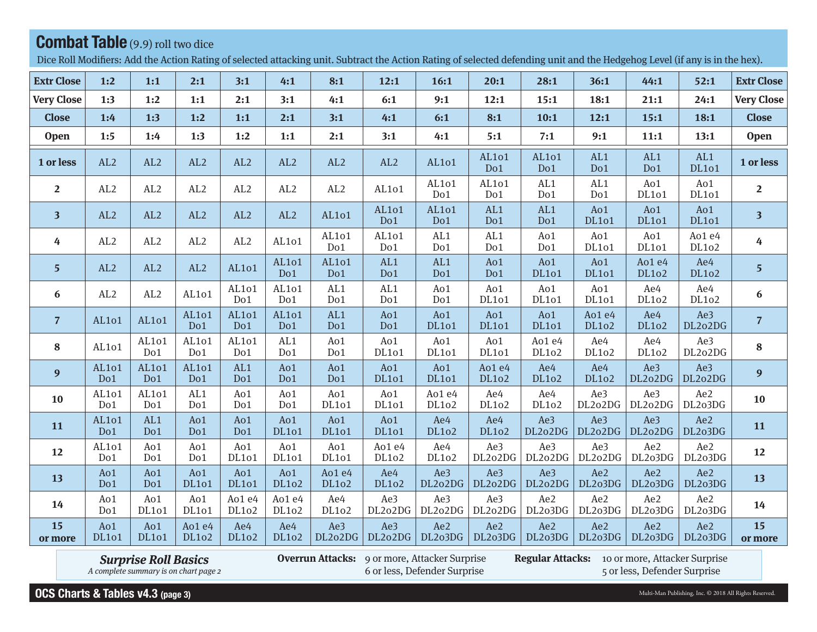# **Combat Table** (9.9) roll two dice

Dice Roll Modifiers: Add the Action Rating of selected attacking unit. Subtract the Action Rating of selected defending unit and the Hedgehog Level (if any is in the hex).

| <b>Extr Close</b>       | 1:2                 | 1:1          | 2:1                 | 3:1                 | 4:1                    | 8:1                 | 12:1                | 16:1                | 20:1                | 28:1                | 36:1                   | 44:1                | 52:1                | <b>Extr Close</b>       |
|-------------------------|---------------------|--------------|---------------------|---------------------|------------------------|---------------------|---------------------|---------------------|---------------------|---------------------|------------------------|---------------------|---------------------|-------------------------|
| <b>Very Close</b>       | 1:3                 | 1:2          | 1:1                 | 2:1                 | 3:1                    | 4:1                 | 6:1                 | 9:1                 | 12:1                | 15:1                | 18:1                   | 21:1                | 24:1                | <b>Very Close</b>       |
| <b>Close</b>            | 1:4                 | 1:3          | 1:2                 | 1:1                 | 2:1                    | 3:1                 | 4:1                 | 6:1                 | 8:1                 | 10:1                | 12:1                   | 15:1                | 18:1                | <b>Close</b>            |
| <b>Open</b>             | 1:5                 | 1:4          | 1:3                 | 1:2                 | 1:1                    | 2:1                 | 3:1                 | 4:1                 | 5:1                 | 7:1                 | 9:1                    | 11:1                | 13:1                | <b>Open</b>             |
| 1 or less               | AL2                 | AL2          | AL2                 | AL2                 | AL2                    | AL2                 | AL2                 | AL101               | AL101<br>Do1        | AL101<br>Do1        | AL1<br>Do1             | AL1<br>Do1          | AL1<br><b>DL101</b> | 1 or less               |
| $\overline{2}$          | AL2                 | AL2          | AL2                 | AL2                 | AL2                    | AL2                 | AL101               | AL101<br>Do1        | AL101<br>Do1        | AL1<br>Do1          | AL1<br>Do1             | Ao1<br>DL101        | Ao1<br><b>DL101</b> | $\overline{2}$          |
| $\overline{\mathbf{3}}$ | AL2                 | AL2          | AL2                 | AL2                 | AL2                    | AL101               | AL101<br>Do1        | AL101<br>Do1        | AL1<br>Do1          | AL1<br>Do1          | Ao1<br><b>DL101</b>    | Ao1<br><b>DL101</b> | Ao1<br><b>DL101</b> | $\overline{\mathbf{3}}$ |
| 4                       | AL2                 | AL2          | AL2                 | AL2                 | AL101                  | AL101<br>Do1        | AL101<br>Do1        | AL1<br>Do1          | AL1<br>Do1          | Ao1<br>Do1          | Ao1<br>DL101           | Ao1<br>DL101        | Ao1 e4<br>DL102     | $\overline{4}$          |
| 5 <sup>5</sup>          | AL2                 | AL2          | AL2                 | AL101               | AL101<br>Do1           | AL101<br>Do1        | AL1<br>Do1          | AL1<br>Do1          | Ao1<br>Do1          | Ao1<br><b>DL101</b> | Ao1<br><b>DL101</b>    | Ao1 e4<br>DL102     | Ae4<br>DL102        | 5 <sup>5</sup>          |
| 6                       | AL2                 | AL2          | AL101               | AL101<br>Do1        | AL101<br>Do1           | AL1<br>Do1          | AL1<br>Do1          | Ao1<br>Do1          | Ao1<br><b>DL101</b> | Ao1<br><b>DL101</b> | Ao1<br>DL101           | Ae4<br>DL102        | Ae4<br>DL102        | $\boldsymbol{6}$        |
| $\overline{7}$          | AL101               | AL101        | AL101<br>Do1        | AL101<br>Do1        | AL101<br>Do1           | AL1<br>Do1          | Ao1<br>Do1          | Ao1<br><b>DL101</b> | Ao1<br><b>DL101</b> | Ao1<br><b>DL101</b> | Ao1 e4<br><b>DL102</b> | Ae4<br>DL102        | Ae3<br>DL2o2DG      | $\overline{7}$          |
| 8                       | AL101               | AL101<br>Do1 | AL101<br>Do1        | AL101<br>Do1        | AL <sub>1</sub><br>Do1 | Ao1<br>Do1          | Ao1<br><b>DL101</b> | Ao1<br>DL101        | Ao1<br><b>DL101</b> | Ao1 e4<br>DL102     | Ae4<br>DL102           | Ae4<br>DL102        | Ae3<br>DL2o2DG      | 8                       |
| 9                       | AL101<br>Do1        | AL101<br>Do1 | AL101<br>Do1        | AL1<br>Do1          | Ao1<br>Do1             | Ao1<br>Do1          | Ao1<br><b>DL101</b> | Ao1<br><b>DL101</b> | Ao1 e4<br>DL102     | Ae4<br>DL102        | Ae4<br>DL102           | Ae3<br>DL2o2DG      | Ae3<br>DL2o2DG      | 9 <sup>°</sup>          |
| 10                      | AL101<br>Do1        | AL101<br>Do1 | AL1<br>Do1          | Ao1<br>Do1          | Ao1<br>Do1             | Ao1<br>DL101        | Ao1<br>DL101        | Ao1 e4<br>DL102     | Ae4<br>DL102        | Ae4<br>DL102        | Ae3<br>DL2o2DG         | Ae3<br>DL2o2DG      | Ae2<br>DL2o3DG      | 10                      |
| 11                      | AL101<br>Do1        | AL1<br>Do1   | Ao1<br>Do1          | Ao1<br>Do1          | Ao1<br><b>DL101</b>    | Ao1<br><b>DL101</b> | Ao1<br><b>DL101</b> | Ae4<br>DL102        | Ae4<br><b>DL102</b> | Ae3<br>DL2o2DG      | Ae3<br>DL2o2DG         | Ae3<br>DL2o2DG      | Ae2<br>DL2o3DG      | 11                      |
| 12                      | AL101<br>Do1        | Ao1<br>Do1   | Ao1<br>Do1          | Ao1<br>DL101        | Ao1<br>DL101           | Ao1<br><b>DL101</b> | Ao1 e4<br>DL102     | Ae4<br>DL102        | Ae3<br>DL2o2DG      | Ae3<br>DL2o2DG      | Ae3<br>DL2o2DG         | Ae2<br>DL2o3DG      | Ae2<br>DL2o3DG      | 12                      |
| 13                      | Ao1<br>Do1          | Ao1<br>Do1   | Ao1<br><b>DL101</b> | Ao1<br><b>DL101</b> | Ao1<br>DL102           | Ao1 e4<br>DL102     | Ae4<br>DL102        | Ae3<br>DL2o2DG      | Ae3<br>DL2o2DG      | Ae3<br>DL2o2DG      | Ae2<br>DL2o3DG         | Ae2<br>DL2o3DG      | Ae2<br>DL2o3DG      | 13                      |
| 14                      | Ao1<br>Do1          | Ao1<br>DL101 | Ao1<br>DL101        | Ao1 e4<br>DL102     | Ao1 e4<br>DL102        | Ae4<br>DL102        | Ae3<br>DL2o2DG      | Ae3<br>DL2o2DG      | Ae3<br>DL2o2DG      | Ae2<br>DL2o3DG      | Ae2<br>DL2o3DG         | Ae2<br>DL2o3DG      | Ae2<br>DL2o3DG      | 14                      |
| 15<br>or more           | Ao1<br><b>DL101</b> | Ao1<br>DL101 | Ao1 e4<br>DL102     | Ae4<br>DL102        | Ae4<br>DL102           | Ae3<br>DL2o2DG      | Ae3<br>DL2o2DG      | Ae2<br>DL2o3DG      | Ae2<br>DL2o3DG      | Ae2<br>DL2o3DG      | Ae2<br>DL2o3DG         | Ae2<br>DL2o3DG      | Ae2<br>DL2o3DG      | 15<br>or more           |

**Surprise Roll Basics**<br>A complete summary is on chart page 2

**Overrun Attacks:** 9 or more, Attacker Surprise 6 or less, Defender Surprise

Regular Attacks: 10 or more, Attacker Surprise

5 or less, Defender Surprise

OCS Charts & Tables v4.3 (page 3)